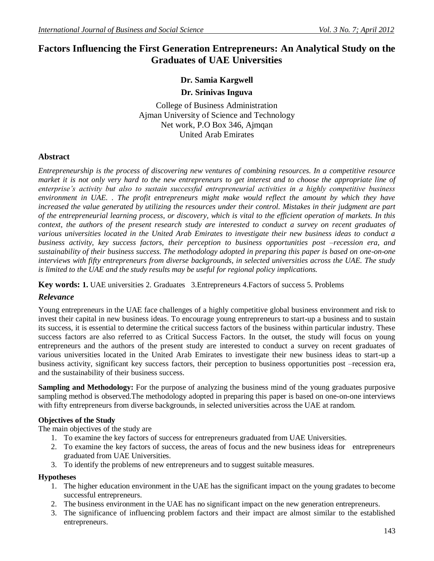## **Factors Influencing the First Generation Entrepreneurs: An Analytical Study on the Graduates of UAE Universities**

# **Dr. Samia Kargwell**

**Dr. Srinivas Inguva**

College of Business Administration Ajman University of Science and Technology Net work, P.O Box 346, Ajmqan United Arab Emirates

## **Abstract**

*Entrepreneurship is the process of discovering new ventures of combining resources. In a competitive resource market it is not only very hard to the new entrepreneurs to get interest and to choose the appropriate line of enterprise's activity but also to sustain successful entrepreneurial activities in a highly competitive business environment in UAE. . The profit entrepreneurs might make would reflect the amount by which they have increased the value generated by utilizing the resources under their control. Mistakes in their judgment are part of the entrepreneurial learning process, or discovery, which is vital to the efficient operation of markets. In this context, the authors of the present research study are interested to conduct a survey on recent graduates of various universities located in the United Arab Emirates to investigate their new business ideas to conduct a business activity, key success factors, their perception to business opportunities post –recession era, and sustainability of their business success. The methodology adopted in preparing this paper is based on one-on-one interviews with fifty entrepreneurs from diverse backgrounds, in selected universities across the UAE. The study is limited to the UAE and the study results may be useful for regional policy implications.*

**Key words: 1.** UAE universities 2. Graduates 3.Entrepreneurs 4.Factors of success 5. Problems

## *Relevance*

Young entrepreneurs in the UAE face challenges of a highly competitive global business environment and risk to invest their capital in new business ideas. To encourage young entrepreneurs to start-up a business and to sustain its success, it is essential to determine the critical success factors of the business within particular industry. These success factors are also referred to as Critical Success Factors. In the outset, the study will focus on young entrepreneurs and the authors of the present study are interested to conduct a survey on recent graduates of various universities located in the United Arab Emirates to investigate their new business ideas to start-up a business activity, significant key success factors, their perception to business opportunities post –recession era, and the sustainability of their business success.

**Sampling and Methodology:** For the purpose of analyzing the business mind of the young graduates purposive sampling method is observed.The methodology adopted in preparing this paper is based on one-on-one interviews with fifty entrepreneurs from diverse backgrounds, in selected universities across the UAE at random.

## **Objectives of the Study**

The main objectives of the study are

- 1. To examine the key factors of success for entrepreneurs graduated from UAE Universities.
- 2. To examine the key factors of success, the areas of focus and the new business ideas for entrepreneurs graduated from UAE Universities.
- 3. To identify the problems of new entrepreneurs and to suggest suitable measures.

#### **Hypotheses**

- 1. The higher education environment in the UAE has the significant impact on the young gradates to become successful entrepreneurs.
- 2. The business environment in the UAE has no significant impact on the new generation entrepreneurs.
- 3. The significance of influencing problem factors and their impact are almost similar to the established entrepreneurs.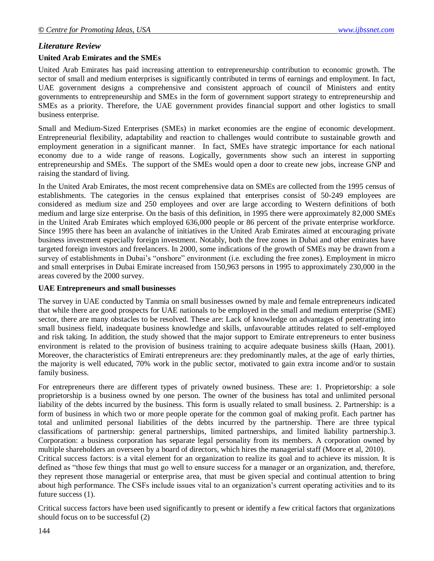## *Literature Review*

#### **United Arab Emirates and the SMEs**

United Arab Emirates has paid increasing attention to entrepreneurship contribution to economic growth. The sector of small and medium enterprises is significantly contributed in terms of earnings and employment. In fact, UAE government designs a comprehensive and consistent approach of council of Ministers and entity governments to entrepreneurship and SMEs in the form of government support strategy to entrepreneurship and SMEs as a priority. Therefore, the UAE government provides financial support and other logistics to small business enterprise.

Small and Medium-Sized Enterprises (SMEs) in market economies are the engine of economic development. Entrepreneurial flexibility, adaptability and reaction to challenges would contribute to sustainable growth and employment generation in a significant manner. In fact, SMEs have strategic importance for each national economy due to a wide range of reasons. Logically, governments show such an interest in supporting entrepreneurship and SMEs. The support of the SMEs would open a door to create new jobs, increase GNP and raising the standard of living.

In the United Arab Emirates, the most recent comprehensive data on SMEs are collected from the 1995 census of establishments. The categories in the census explained that enterprises consist of 50-249 employees are considered as medium size and 250 employees and over are large according to Western definitions of both medium and large size enterprise. On the basis of this definition, in 1995 there were approximately 82,000 SMEs in the United Arab Emirates which employed 636,000 people or 86 percent of the private enterprise workforce. Since 1995 there has been an avalanche of initiatives in the United Arab Emirates aimed at encouraging private business investment especially foreign investment. Notably, both the free zones in Dubai and other emirates have targeted foreign investors and freelancers. In 2000, some indications of the growth of SMEs may be drawn from a survey of establishments in Dubai's "onshore" environment (i.e. excluding the free zones). Employment in micro and small enterprises in Dubai Emirate increased from 150,963 persons in 1995 to approximately 230,000 in the areas covered by the 2000 survey.

#### **UAE Entrepreneurs and small businesses**

The survey in UAE conducted by Tanmia on small businesses owned by male and female entrepreneurs indicated that while there are good prospects for UAE nationals to be employed in the small and medium enterprise (SME) sector, there are many obstacles to be resolved. These are: Lack of knowledge on advantages of penetrating into small business field, inadequate business knowledge and skills, unfavourable attitudes related to self-employed and risk taking. In addition, the study showed that the major support to Emirate entrepreneurs to enter business environment is related to the provision of business training to acquire adequate business skills (Haan, 2001). Moreover, the characteristics of Emirati entrepreneurs are: they predominantly males, at the age of early thirties, the majority is well educated, 70% work in the public sector, motivated to gain extra income and/or to sustain family business.

For entrepreneurs there are different types of privately owned business. These are: 1. Proprietorship: a sole proprietorship is a business owned by one person. The owner of the business has total and unlimited personal liability of the debts incurred by the business. This form is usually related to small business. 2. Partnership: is a form of business in which two or more people operate for the common goal of making profit. Each partner has total and unlimited personal liabilities of the debts incurred by the partnership. There are three typical classifications of partnership: general partnerships, limited partnerships, and limited liability partnership.3. Corporation: a business corporation has separate legal personality from its members. A corporation owned by multiple shareholders an overseen by a board of directors, which hires the managerial staff (Moore et al, 2010).

Critical success factors: is a vital element for an organization to realize its goal and to achieve its mission. It is defined as "those few things that must go well to ensure success for a manager or an organization, and, therefore, they represent those managerial or enterprise area, that must be given special and continual attention to bring about high performance. The CSFs include issues vital to an organization"s current operating activities and to its future success (1).

Critical success factors have been used significantly to present or identify a few critical factors that organizations should focus on to be successful (2)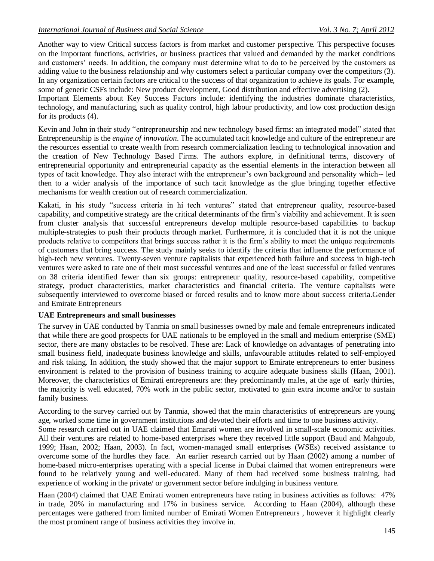Another way to view Critical success factors is from market and customer perspective. This perspective focuses on the important functions, activities, or business practices that valued and demanded by the market conditions and customers' needs. In addition, the company must determine what to do to be perceived by the customers as adding value to the business relationship and why customers select a particular company over the competitors (3). In any organization certain factors are critical to the success of that organization to achieve its goals. For example, some of generic CSFs include: New product development, Good distribution and effective advertising (2).

Important Elements about Key Success Factors include: identifying the industries dominate characteristics, technology, and manufacturing, such as quality control, high labour productivity, and low cost production design for its products (4).

Kevin and John in their study "entrepreneurship and new technology based firms: an integrated model" stated that Entrepreneurship is the *engine of innovation*. The accumulated tacit knowledge and culture of the entrepreneur are the resources essential to create wealth from research commercialization leading to technological innovation and the creation of New Technology Based Firms. The authors explore, in definitional terms, discovery of entrepreneurial opportunity and entrepreneurial capacity as the essential elements in the interaction between all types of tacit knowledge. They also interact with the entrepreneur"s own background and personality which-- led then to a wider analysis of the importance of such tacit knowledge as the glue bringing together effective mechanisms for wealth creation out of research commercialization.

Kakati, in his study "success criteria in hi tech ventures" stated that entrepreneur quality, resource-based capability, and competitive strategy are the critical determinants of the firm"s viability and achievement. It is seen from cluster analysis that successful entrepreneurs develop multiple resource-based capabilities to backup multiple-strategies to push their products through market. Furthermore, it is concluded that it is not the unique products relative to competitors that brings success rather it is the firm"s ability to meet the unique requirements of customers that bring success. The study mainly seeks to identify the criteria that influence the performance of high-tech new ventures. Twenty-seven venture capitalists that experienced both failure and success in high-tech ventures were asked to rate one of their most successful ventures and one of the least successful or failed ventures on 38 criteria identified fewer than six groups: entrepreneur quality, resource-based capability, competitive strategy, product characteristics, market characteristics and financial criteria. The venture capitalists were subsequently interviewed to overcome biased or forced results and to know more about success criteria.Gender and Emirate Entrepreneurs

## **UAE Entrepreneurs and small businesses**

The survey in UAE conducted by Tanmia on small businesses owned by male and female entrepreneurs indicated that while there are good prospects for UAE nationals to be employed in the small and medium enterprise (SME) sector, there are many obstacles to be resolved. These are: Lack of knowledge on advantages of penetrating into small business field, inadequate business knowledge and skills, unfavourable attitudes related to self-employed and risk taking. In addition, the study showed that the major support to Emirate entrepreneurs to enter business environment is related to the provision of business training to acquire adequate business skills (Haan, 2001). Moreover, the characteristics of Emirati entrepreneurs are: they predominantly males, at the age of early thirties, the majority is well educated, 70% work in the public sector, motivated to gain extra income and/or to sustain family business.

According to the survey carried out by Tanmia, showed that the main characteristics of entrepreneurs are young age, worked some time in government institutions and devoted their efforts and time to one business activity. Some research carried out in UAE claimed that Emarati women are involved in small-scale economic activities. All their ventures are related to home-based enterprises where they received little support (Baud and Mahgoub, 1999; Haan, 2002; Haan, 2003). In fact, women-managed small enterprises (WSEs) received assistance to overcome some of the hurdles they face. An earlier research carried out by Haan (2002) among a number of home-based micro-enterprises operating with a special license in Dubai claimed that women entrepreneurs were found to be relatively young and well-educated. Many of them had received some business training, had experience of working in the private/ or government sector before indulging in business venture.

Haan (2004) claimed that UAE Emirati women entrepreneurs have rating in business activities as follows: 47% in trade, 20% in manufacturing and 17% in business service. According to Haan (2004), although these percentages were gathered from limited number of Emirati Women Entrepreneurs , however it highlight clearly the most prominent range of business activities they involve in.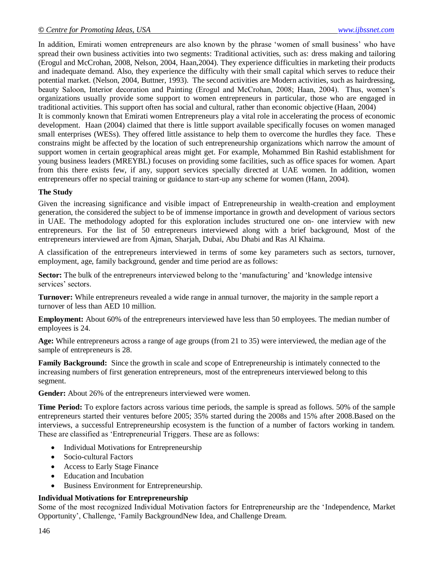In addition, Emirati women entrepreneurs are also known by the phrase 'women of small business' who have spread their own business activities into two segments: Traditional activities, such as: dress making and tailoring (Erogul and McCrohan, 2008, Nelson, 2004, Haan,2004). They experience difficulties in marketing their products and inadequate demand. Also, they experience the difficulty with their small capital which serves to reduce their potential market. (Nelson, 2004, Buttner, 1993). The second activities are Modern activities, such as hairdressing, beauty Saloon, Interior decoration and Painting (Erogul and McCrohan, 2008; Haan, 2004). Thus, women's organizations usually provide some support to women entrepreneurs in particular, those who are engaged in traditional activities. This support often has social and cultural, rather than economic objective (Haan, 2004) It is commonly known that Emirati women Entrepreneurs play a vital role in accelerating the process of economic development. Haan (2004) claimed that there is little support available specifically focuses on women managed small enterprises (WESs). They offered little assistance to help them to overcome the hurdles they face. These constrains might be affected by the location of such entrepreneurship organizations which narrow the amount of support women in certain geographical areas might get. For example, Mohammed Bin Rashid establishment for young business leaders (MREYBL) focuses on providing some facilities, such as office spaces for women. Apart from this there exists few, if any, support services specially directed at UAE women. In addition, women entrepreneurs offer no special training or guidance to start-up any scheme for women (Hann, 2004).

## **The Study**

Given the increasing significance and visible impact of Entrepreneurship in wealth-creation and employment generation, the considered the subject to be of immense importance in growth and development of various sectors in UAE. The methodology adopted for this exploration includes structured one on- one interview with new entrepreneurs. For the list of 50 entrepreneurs interviewed along with a brief background, Most of the entrepreneurs interviewed are from Ajman, Sharjah, Dubai, Abu Dhabi and Ras Al Khaima.

A classification of the entrepreneurs interviewed in terms of some key parameters such as sectors, turnover, employment, age, family background, gender and time period are as follows:

**Sector:** The bulk of the entrepreneurs interviewed belong to the 'manufacturing' and 'knowledge intensive services' sectors.

**Turnover:** While entrepreneurs revealed a wide range in annual turnover, the majority in the sample report a turnover of less than AED 10 million.

**Employment:** About 60% of the entrepreneurs interviewed have less than 50 employees. The median number of employees is 24.

**Age:** While entrepreneurs across a range of age groups (from 21 to 35) were interviewed, the median age of the sample of entrepreneurs is 28.

**Family Background:** Since the growth in scale and scope of Entrepreneurship is intimately connected to the increasing numbers of first generation entrepreneurs, most of the entrepreneurs interviewed belong to this segment.

Gender: About 26% of the entrepreneurs interviewed were women.

**Time Period:** To explore factors across various time periods, the sample is spread as follows. 50% of the sample entrepreneurs started their ventures before 2005; 35% started during the 2008s and 15% after 2008.Based on the interviews, a successful Entrepreneurship ecosystem is the function of a number of factors working in tandem. These are classified as "Entrepreneurial Triggers. These are as follows:

- Individual Motivations for Entrepreneurship
- Socio-cultural Factors
- Access to Early Stage Finance
- Education and Incubation
- Business Environment for Entrepreneurship.

#### **Individual Motivations for Entrepreneurship**

Some of the most recognized Individual Motivation factors for Entrepreneurship are the "Independence, Market Opportunity", Challenge, "Family BackgroundNew Idea, and Challenge Dream.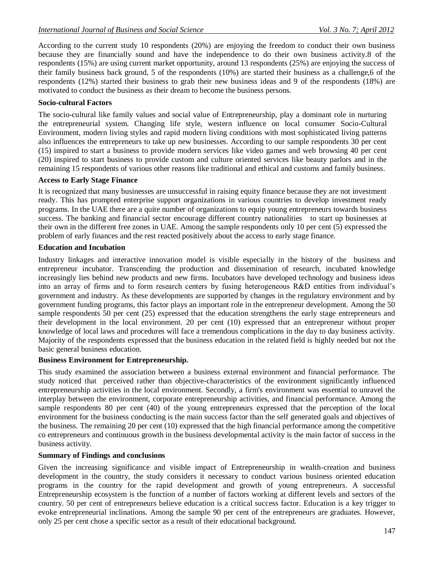According to the current study 10 respondents (20%) are enjoying the freedom to conduct their own business because they are financially sound and have the independence to do their own business activity.8 of the respondents (15%) are using current market opportunity, around 13 respondents (25%) are enjoying the success of their family business back ground, 5 of the respondents (10%) are started their business as a challenge,6 of the respondents (12%) started their business to grab their new business ideas and 9 of the respondents (18%) are motivated to conduct the business as their dream to become the business persons.

### **Socio-cultural Factors**

The socio-cultural like family values and social value of Entrepreneurship, play a dominant role in nurturing the entrepreneurial system. Changing life style, western influence on local consumer Socio-Cultural Environment, modern living styles and rapid modern living conditions with most sophisticated living patterns also influences the entrepreneurs to take up new businesses. According to our sample respondents 30 per cent (15) inspired to start a business to provide modern services like video games and web browsing 40 per cent (20) inspired to start business to provide custom and culture oriented services like beauty parlors and in the remaining 15 respondents of various other reasons like traditional and ethical and customs and family business.

#### **Access to Early Stage Finance**

It is recognized that many businesses are unsuccessful in raising equity finance because they are not investment ready. This has prompted enterprise support organizations in various countries to develop investment ready programs. In the UAE there are a quite number of organizations to equip young entrepreneurs towards business success. The banking and financial sector encourage different country nationalities to start up businesses at their own in the different free zones in UAE. Among the sample respondents only 10 per cent (5) expressed the problem of early finances and the rest reacted positively about the access to early stage finance.

### **Education and Incubation**

Industry linkages and interactive innovation model is visible especially in the history of the business and entrepreneur incubator. Transcending the production and dissemination of research, incubated knowledge increasingly lies behind new products and new firms. Incubators have developed technology and business ideas into an array of firms and to form research centers by fusing heterogeneous R&D entities from individual"s government and industry. As these developments are supported by changes in the regulatory environment and by government funding programs, this factor plays an important role in the entrepreneur development. Among the 50 sample respondents 50 per cent (25) expressed that the education strengthens the early stage entrepreneurs and their development in the local environment. 20 per cent (10) expressed that an entrepreneur without proper knowledge of local laws and procedures will face a tremendous complications in the day to day business activity. Majority of the respondents expressed that the business education in the related field is highly needed but not the basic general business education.

### **Business Environment for Entrepreneurship.**

This study examined the association between a business external environment and financial performance. The study noticed that perceived rather than objective-characteristics of the environment significantly influenced entrepreneurship activities in the local environment. Secondly, a firm's environment was essential to unravel the interplay between the environment, corporate entrepreneurship activities, and financial performance. Among the sample respondents 80 per cent (40) of the young entrepreneurs expressed that the perception of the local environment for the business conducting is the main success factor than the self generated goals and objectives of the business. The remaining 20 per cent (10) expressed that the high financial performance among the competitive co entrepreneurs and continuous growth in the business developmental activity is the main factor of success in the business activity.

### **Summary of Findings and conclusions**

Given the increasing significance and visible impact of Entrepreneurship in wealth-creation and business development in the country, the study considers it necessary to conduct various business oriented education programs in the country for the rapid development and growth of young entrepreneurs. A successful Entrepreneurship ecosystem is the function of a number of factors working at different levels and sectors of the country. 50 per cent of entrepreneurs believe education is a critical success factor. Education is a key trigger to evoke entrepreneurial inclinations. Among the sample 90 per cent of the entrepreneurs are graduates. However, only 25 per cent chose a specific sector as a result of their educational background.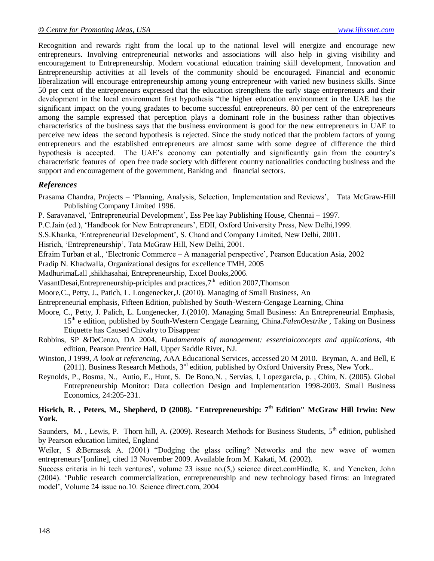Recognition and rewards right from the local up to the national level will energize and encourage new entrepreneurs. Involving entrepreneurial networks and associations will also help in giving visibility and encouragement to Entrepreneurship. Modern vocational education training skill development, Innovation and Entrepreneurship activities at all levels of the community should be encouraged. Financial and economic liberalization will encourage entrepreneurship among young entrepreneur with varied new business skills. Since 50 per cent of the entrepreneurs expressed that the education strengthens the early stage entrepreneurs and their development in the local environment first hypothesis "the higher education environment in the UAE has the significant impact on the young gradates to become successful entrepreneurs. 80 per cent of the entrepreneurs among the sample expressed that perception plays a dominant role in the business rather than objectives characteristics of the business says that the business environment is good for the new entrepreneurs in UAE to perceive new ideas the second hypothesis is rejected. Since the study noticed that the problem factors of young entrepreneurs and the established entrepreneurs are almost same with some degree of difference the third hypothesis is accepted. The UAE's economy can potentially and significantly gain from the country's characteristic features of open free trade society with different country nationalities conducting business and the support and encouragement of the government, Banking and financial sectors.

## *References*

- Prasama Chandra, Projects "Planning, Analysis, Selection, Implementation and Reviews", Tata McGraw-Hill Publishing Company Limited 1996.
- P. Saravanavel, "Entrepreneurial Development", Ess Pee kay Publishing House, Chennai 1997.
- P.C.Jain (ed.), 'Handbook for New Entrepreneurs', EDII, Oxford University Press, New Delhi,1999.
- S.S.Khanka, "Entrepreneurial Development", S. Chand and Company Limited, New Delhi, 2001.

Hisrich, "Entrepreneurship", Tata McGraw Hill, New Delhi, 2001.

- Efraim Turban et al., "Electronic Commerce A managerial perspective", Pearson Education Asia, 2002
- Pradip N. Khadwalla, Organizational designs for excellence TMH, 2005
- MadhurimaLall ,shikhasahai, Entrepreneurship, Excel Books,2006.
- VasantDesai, Entrepreneurship-priciples and practices,  $7<sup>th</sup>$  edition 2007, Thomson
- Moore,C., Petty, J., Patich, L. Longenecker,J. (2010). Managing of Small Business, An
- Entrepreneurial emphasis, Fifteen Edition, published by South-Western-Cengage Learning, China
- Moore, C., Petty, J. Palich, L. Longenecker, J.(2010). Managing Small Business: An Entrepreneurial Emphasis, 15th e edition, published by South-Western Cengage Learning, China*.FalenOestrike ,* Taking on Business Etiquette has Caused Chivalry to Disappear
- Robbins, SP &DeCenzo, DA 2004, *Fundamentals of management: essentialconcepts and applications*, 4th edition, Pearson Prentice Hall, Upper Saddle River, NJ.
- Winston, J 1999, *A look at referencing*, AAA Educational Services, accessed 20 M 2010. Bryman, A. and Bell, E (2011). Business Research Methods, 3rd edition, published by Oxford University Press, New York..
- Reynolds, P., Bosma, N., Autio, E., Hunt, S. De Bono,N. , Servias, I, Lopezgarcia, p. , Chim, N. (2005). Global Entrepreneurship Monitor: Data collection Design and Implementation 1998-2003. Small Business Economics, 24:205-231.

## **Hisrich, R. , Peters, M., Shepherd, D (2008). "Entrepreneurship: 7th Edition" McGraw Hill Irwin: New York.**

Saunders, M., Lewis, P. Thorn hill, A. (2009). Research Methods for Business Students,  $5<sup>th</sup>$  edition, published by Pearson education limited, England

Weiler, S &Bernasek A. (2001) "Dodging the glass ceiling? Networks and the new wave of women entrepreneurs"[online], cited 13 November 2009. Available from M. Kakati, M. (2002).

Success criteria in hi tech ventures", volume 23 issue no.(5,) science direct.comHindle, K. and Yencken, John (2004). "Public research commercialization, entrepreneurship and new technology based firms: an integrated model", Volume 24 issue no.10. Science direct.com, 2004